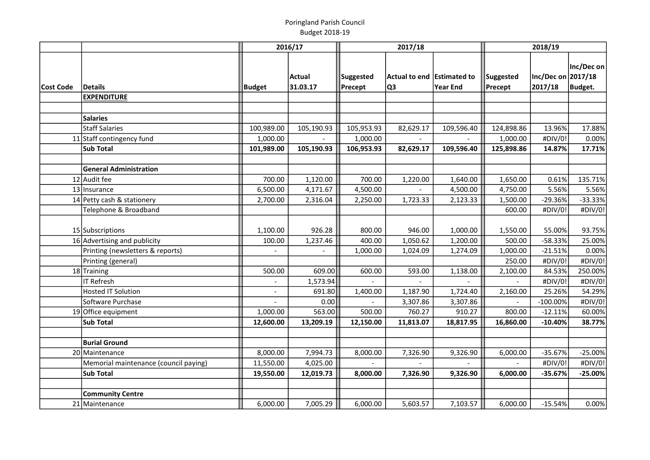|           |                                       |                          | 2016/17            | 2017/18              |                                  | 2018/19    |                      |                               |                       |
|-----------|---------------------------------------|--------------------------|--------------------|----------------------|----------------------------------|------------|----------------------|-------------------------------|-----------------------|
| Cost Code | <b>Details</b>                        | Budget                   | Actual<br>31.03.17 | Suggested<br>Precept | Actual to end Estimated to<br>Q3 | Year End   | Suggested<br>Precept | Inc/Dec on 2017/18<br>2017/18 | Inc/Dec on<br>Budget. |
|           | <b>EXPENDITURE</b>                    |                          |                    |                      |                                  |            |                      |                               |                       |
|           | <b>Salaries</b>                       |                          |                    |                      |                                  |            |                      |                               |                       |
|           | <b>Staff Salaries</b>                 | 100,989.00               | 105,190.93         | 105,953.93           | 82,629.17                        | 109,596.40 | 124,898.86           | 13.96%                        | 17.88%                |
|           | 11 Staff contingency fund             | 1,000.00                 |                    | 1,000.00             |                                  |            | 1,000.00             | #DIV/0!                       | 0.00%                 |
|           | <b>Sub Total</b>                      | 101,989.00               | 105,190.93         | 106,953.93           | 82,629.17                        | 109,596.40 | 125,898.86           | 14.87%                        | 17.71%                |
|           |                                       |                          |                    |                      |                                  |            |                      |                               |                       |
|           | <b>General Administration</b>         |                          |                    |                      |                                  |            |                      |                               |                       |
|           | 12 Audit fee                          | 700.00                   | 1,120.00           | 700.00               | 1,220.00                         | 1,640.00   | 1,650.00             | 0.61%                         | 135.71%               |
|           | 13 Insurance                          | 6,500.00                 | 4,171.67           | 4,500.00             |                                  | 4,500.00   | 4,750.00             | 5.56%                         | 5.56%                 |
|           | 14 Petty cash & stationery            | 2,700.00                 | 2,316.04           | 2,250.00             | 1,723.33                         | 2,123.33   | 1,500.00             | $-29.36%$                     | $-33.33%$             |
|           | Telephone & Broadband                 |                          |                    |                      |                                  |            | 600.00               | #DIV/0!                       | #DIV/0!               |
|           | 15 Subscriptions                      | 1,100.00                 | 926.28             | 800.00               | 946.00                           | 1,000.00   | 1,550.00             | 55.00%                        | 93.75%                |
|           | 16 Advertising and publicity          | 100.00                   | 1,237.46           | 400.00               | 1,050.62                         | 1,200.00   | 500.00               | -58.33%                       | 25.00%                |
|           | Printing (newsletters & reports)      |                          |                    | 1,000.00             | 1,024.09                         | 1,274.09   | 1,000.00             | $-21.51%$                     | 0.00%                 |
|           | Printing (general)                    |                          |                    |                      |                                  |            | 250.00               | #DIV/0!                       | #DIV/0!               |
|           | 18 Training                           | 500.00                   | 609.00             | 600.00               | 593.00                           | 1,138.00   | 2,100.00             | 84.53%                        | 250.00%               |
|           | <b>IT Refresh</b>                     |                          | 1,573.94           |                      |                                  |            |                      | #DIV/0!                       | #DIV/0!               |
|           | <b>Hosted IT Solution</b>             | $\overline{\phantom{0}}$ | 691.80             | 1,400.00             | 1,187.90                         | 1,724.40   | 2,160.00             | 25.26%                        | 54.29%                |
|           | Software Purchase                     |                          | 0.00               |                      | 3,307.86                         | 3,307.86   |                      | $-100.00\%$                   | #DIV/0!               |
|           | 19 Office equipment                   | 1,000.00                 | 563.00             | 500.00               | 760.27                           | 910.27     | 800.00               | $-12.11%$                     | 60.00%                |
|           | <b>Sub Total</b>                      | 12,600.00                | 13,209.19          | 12,150.00            | 11,813.07                        | 18,817.95  | 16,860.00            | $-10.40%$                     | 38.77%                |
|           |                                       |                          |                    |                      |                                  |            |                      |                               |                       |
|           | <b>Burial Ground</b>                  |                          |                    |                      |                                  |            |                      |                               |                       |
|           | 20 Maintenance                        | 8,000.00                 | 7,994.73           | 8,000.00             | 7,326.90                         | 9,326.90   | 6,000.00             | $-35.67%$                     | $-25.00%$             |
|           | Memorial maintenance (council paying) | 11,550.00                | 4,025.00           |                      |                                  |            |                      | #DIV/0!                       | #DIV/0!               |
|           | <b>Sub Total</b>                      | 19,550.00                | 12,019.73          | 8,000.00             | 7,326.90                         | 9,326.90   | 6,000.00             | $-35.67%$                     | $-25.00%$             |
|           | <b>Community Centre</b>               |                          |                    |                      |                                  |            |                      |                               |                       |
|           | 21 Maintenance                        | 6,000.00                 | 7,005.29           | 6,000.00             | 5,603.57                         | 7,103.57   | 6,000.00             | $-15.54%$                     | 0.00%                 |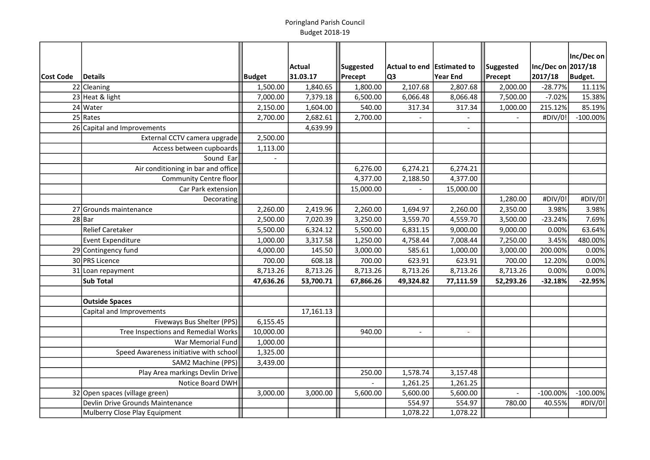|           |                                        |           |                    |                             |                                  |                 |                      |                               | Inc/Dec on  |
|-----------|----------------------------------------|-----------|--------------------|-----------------------------|----------------------------------|-----------------|----------------------|-------------------------------|-------------|
| Cost Code | <b>Details</b>                         | Budget    | Actual<br>31.03.17 | <b>Suggested</b><br>Precept | Actual to end Estimated to<br>Q3 | <b>Year End</b> | Suggested<br>Precept | Inc/Dec on 2017/18<br>2017/18 | Budget.     |
|           | 22 Cleaning                            | 1,500.00  | 1,840.65           | 1,800.00                    | 2,107.68                         | 2,807.68        | 2,000.00             | $-28.77%$                     | 11.11%      |
|           | $23$ Heat & light                      | 7,000.00  | 7,379.18           | 6,500.00                    | 6,066.48                         | 8,066.48        | 7,500.00             | $-7.02%$                      | 15.38%      |
|           | $24$ Water                             | 2,150.00  | 1,604.00           | 540.00                      | 317.34                           | 317.34          | 1,000.00             | 215.12%                       | 85.19%      |
|           | $25$ Rates                             | 2,700.00  | 2,682.61           | 2,700.00                    |                                  |                 |                      | #DIV/0!                       | $-100.00%$  |
|           | 26 Capital and Improvements            |           | 4,639.99           |                             |                                  |                 |                      |                               |             |
|           | External CCTV camera upgrade           | 2,500.00  |                    |                             |                                  |                 |                      |                               |             |
|           | Access between cupboards               | 1,113.00  |                    |                             |                                  |                 |                      |                               |             |
|           | Sound Ear                              |           |                    |                             |                                  |                 |                      |                               |             |
|           | Air conditioning in bar and office     |           |                    | 6,276.00                    | 6,274.21                         | 6,274.21        |                      |                               |             |
|           | <b>Community Centre floor</b>          |           |                    | 4,377.00                    | 2,188.50                         | 4,377.00        |                      |                               |             |
|           | Car Park extension                     |           |                    | 15,000.00                   |                                  | 15,000.00       |                      |                               |             |
|           | Decorating                             |           |                    |                             |                                  |                 | 1,280.00             | #DIV/0!                       | #DIV/0!     |
|           | 27 Grounds maintenance                 | 2,260.00  | 2,419.96           | 2,260.00                    | 1,694.97                         | 2,260.00        | 2,350.00             | 3.98%                         | 3.98%       |
|           | $28$ Bar                               | 2,500.00  | 7,020.39           | 3,250.00                    | 3,559.70                         | 4,559.70        | 3,500.00             | $-23.24%$                     | 7.69%       |
|           | <b>Relief Caretaker</b>                | 5,500.00  | 6,324.12           | 5,500.00                    | 6,831.15                         | 9,000.00        | 9,000.00             | 0.00%                         | 63.64%      |
|           | <b>Event Expenditure</b>               | 1,000.00  | 3,317.58           | 1,250.00                    | 4,758.44                         | 7,008.44        | 7,250.00             | 3.45%                         | 480.00%     |
|           | 29 Contingency fund                    | 4,000.00  | 145.50             | 3,000.00                    | 585.61                           | 1,000.00        | 3,000.00             | 200.00%                       | 0.00%       |
|           | 30 PRS Licence                         | 700.00    | 608.18             | 700.00                      | 623.91                           | 623.91          | 700.00               | 12.20%                        | 0.00%       |
|           | 31 Loan repayment                      | 8,713.26  | 8,713.26           | 8,713.26                    | 8,713.26                         | 8,713.26        | 8,713.26             | 0.00%                         | 0.00%       |
|           | <b>Sub Total</b>                       | 47,636.26 | 53,700.71          | 67,866.26                   | 49,324.82                        | 77,111.59       | 52,293.26            | $-32.18%$                     | $-22.95%$   |
|           |                                        |           |                    |                             |                                  |                 |                      |                               |             |
|           | <b>Outside Spaces</b>                  |           |                    |                             |                                  |                 |                      |                               |             |
|           | Capital and Improvements               |           | 17,161.13          |                             |                                  |                 |                      |                               |             |
|           | Fiveways Bus Shelter (PPS)             | 6,155.45  |                    |                             |                                  |                 |                      |                               |             |
|           | Tree Inspections and Remedial Works    | 10,000.00 |                    | 940.00                      | $\overline{\phantom{a}}$         | $\blacksquare$  |                      |                               |             |
|           | War Memorial Fund                      | 1,000.00  |                    |                             |                                  |                 |                      |                               |             |
|           | Speed Awareness initiative with school | 1,325.00  |                    |                             |                                  |                 |                      |                               |             |
|           | SAM2 Machine (PPS)                     | 3,439.00  |                    |                             |                                  |                 |                      |                               |             |
|           | Play Area markings Devlin Drive        |           |                    | 250.00                      | 1,578.74                         | 3,157.48        |                      |                               |             |
|           | Notice Board DWH                       |           |                    |                             | 1,261.25                         | 1,261.25        |                      |                               |             |
|           | 32 Open spaces (village green)         | 3,000.00  | 3,000.00           | 5,600.00                    | 5,600.00                         | 5,600.00        | $-$                  | $-100.00\%$                   | $-100.00\%$ |
|           | Devlin Drive Grounds Maintenance       |           |                    |                             | 554.97                           | 554.97          | 780.00               | 40.55%                        | #DIV/0!     |
|           | Mulberry Close Play Equipment          |           |                    |                             | 1,078.22                         | 1,078.22        |                      |                               |             |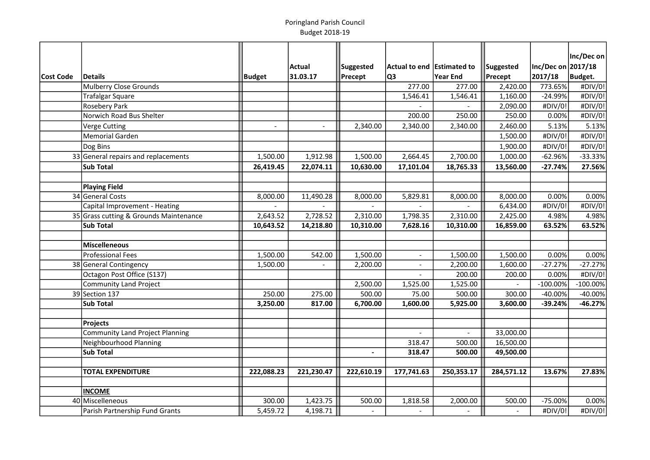|                  |                                        |                |               |                |                                    |                |            |                    | Inc/Dec on  |
|------------------|----------------------------------------|----------------|---------------|----------------|------------------------------------|----------------|------------|--------------------|-------------|
|                  |                                        |                | <b>Actual</b> | Suggested      | $ $ Actual to end $ $ Estimated to |                | Suggested  | Inc/Dec on 2017/18 |             |
| <b>Cost Code</b> | <b>Details</b>                         | Budget         | 31.03.17      | Precept        | Q3                                 | Year End       | Precept    | 2017/18            | Budget.     |
|                  | Mulberry Close Grounds                 |                |               |                | 277.00                             | 277.00         | 2,420.00   | 773.65%            | #DIV/0!     |
|                  | <b>Trafalgar Square</b>                |                |               |                | 1,546.41                           | 1,546.41       | 1,160.00   | $-24.99%$          | #DIV/0!     |
|                  | <b>Rosebery Park</b>                   |                |               |                |                                    |                | 2,090.00   | #DIV/0!            | #DIV/0!     |
|                  | Norwich Road Bus Shelter               |                |               |                | 200.00                             | 250.00         | 250.00     | 0.00%              | #DIV/0!     |
|                  | <b>Verge Cutting</b>                   | $\blacksquare$ | $\omega$      | 2,340.00       | 2,340.00                           | 2,340.00       | 2,460.00   | 5.13%              | 5.13%       |
|                  | <b>Memorial Garden</b>                 |                |               |                |                                    |                | 1,500.00   | #DIV/0!            | #DIV/0!     |
|                  | Dog Bins                               |                |               |                |                                    |                | 1,900.00   | #DIV/0!            | #DIV/0!     |
|                  | 33 General repairs and replacements    | 1,500.00       | 1,912.98      | 1,500.00       | 2,664.45                           | 2,700.00       | 1,000.00   | $-62.96%$          | $-33.33%$   |
|                  | <b>Sub Total</b>                       | 26,419.45      | 22,074.11     | 10,630.00      | 17,101.04                          | 18,765.33      | 13,560.00  | $-27.74%$          | 27.56%      |
|                  |                                        |                |               |                |                                    |                |            |                    |             |
|                  | <b>Playing Field</b>                   |                |               |                |                                    |                |            |                    |             |
|                  | 34 General Costs                       | 8,000.00       | 11,490.28     | 8,000.00       | 5,829.81                           | 8,000.00       | 8,000.00   | 0.00%              | 0.00%       |
|                  | Capital Improvement - Heating          |                |               |                |                                    |                | 6,434.00   | #DIV/0!            | #DIV/0!     |
|                  | 35 Grass cutting & Grounds Maintenance | 2,643.52       | 2,728.52      | 2,310.00       | 1,798.35                           | 2,310.00       | 2,425.00   | 4.98%              | 4.98%       |
|                  | <b>Sub Total</b>                       | 10,643.52      | 14,218.80     | 10,310.00      | 7,628.16                           | 10,310.00      | 16,859.00  | 63.52%             | 63.52%      |
|                  |                                        |                |               |                |                                    |                |            |                    |             |
|                  | Miscelleneous                          |                |               |                |                                    |                |            |                    |             |
|                  | <b>Professional Fees</b>               | 1,500.00       | 542.00        | 1,500.00       | $\overline{\phantom{a}}$           | 1,500.00       | 1,500.00   | 0.00%              | 0.00%       |
|                  | 38 General Contingency                 | 1,500.00       |               | 2,200.00       | $\overline{\phantom{a}}$           | 2,200.00       | 1,600.00   | $-27.27%$          | $-27.27%$   |
|                  | Octagon Post Office (S137)             |                |               |                |                                    | 200.00         | 200.00     | 0.00%              | #DIV/0!     |
|                  | <b>Community Land Project</b>          |                |               | 2,500.00       | 1,525.00                           | 1,525.00       |            | $-100.00%$         | $-100.00\%$ |
|                  | 39 Section 137                         | 250.00         | 275.00        | 500.00         | 75.00                              | 500.00         | 300.00     | -40.00%            | $-40.00%$   |
|                  | <b>Sub Total</b>                       | 3,250.00       | 817.00        | 6,700.00       | 1,600.00                           | 5,925.00       | 3,600.00   | $-39.24%$          | $-46.27%$   |
|                  |                                        |                |               |                |                                    |                |            |                    |             |
|                  | <b>Projects</b>                        |                |               |                |                                    |                |            |                    |             |
|                  | <b>Community Land Project Planning</b> |                |               |                |                                    |                | 33,000.00  |                    |             |
|                  | Neighbourhood Planning                 |                |               |                | 318.47                             | 500.00         | 16,500.00  |                    |             |
|                  | Sub Total                              |                |               |                | 318.47                             | 500.00         | 49,500.00  |                    |             |
|                  |                                        |                |               |                |                                    |                |            |                    |             |
|                  | <b>TOTAL EXPENDITURE</b>               | 222,088.23     | 221,230.47    | 222,610.19     | 177,741.63                         | 250,353.17     | 284,571.12 | 13.67%             | 27.83%      |
|                  |                                        |                |               |                |                                    |                |            |                    |             |
|                  | <b>INCOME</b>                          |                |               |                |                                    |                |            |                    |             |
|                  | 40 Miscelleneous                       | 300.00         | 1,423.75      | 500.00         | 1,818.58                           | 2,000.00       | 500.00     | $-75.00%$          | 0.00%       |
|                  | Parish Partnership Fund Grants         | 5,459.72       | 4,198.71      | $\blacksquare$ | $\overline{a}$                     | $\overline{a}$ |            | #DIV/0!            | #DIV/0!     |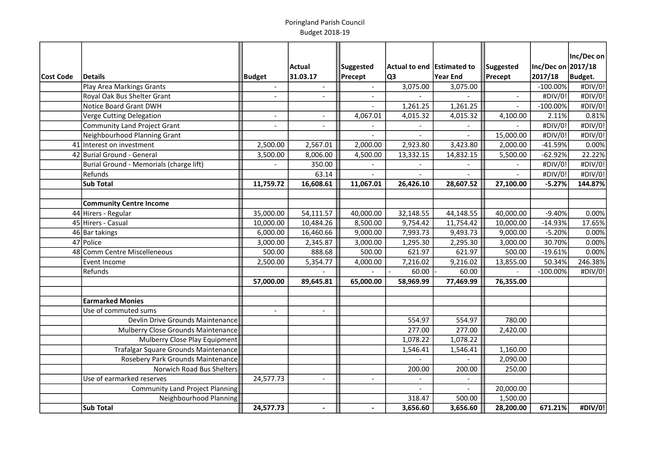|           |                                         |                          |                |                          |                            |                |                          |                    | Inc/Dec on |
|-----------|-----------------------------------------|--------------------------|----------------|--------------------------|----------------------------|----------------|--------------------------|--------------------|------------|
|           |                                         |                          | <b>Actual</b>  | Suggested                | Actual to end Estimated to |                | Suggested                | Inc/Dec on 2017/18 |            |
| Cost Code | <b>Details</b>                          | <b>Budget</b>            | 31.03.17       | Precept                  | Q3                         | Year End       | Precept                  | 2017/18            | Budget.    |
|           | Play Area Markings Grants               |                          |                |                          | 3,075.00                   | 3,075.00       |                          | $-100.00\%$        | #DIV/0!    |
|           | Royal Oak Bus Shelter Grant             | $\overline{\phantom{a}}$ |                |                          |                            |                | $\overline{\phantom{a}}$ | #DIV/0!            | #DIV/0!    |
|           | Notice Board Grant DWH                  |                          |                |                          | 1,261.25                   | 1,261.25       |                          | $-100.00%$         | #DIV/0!    |
|           | Verge Cutting Delegation                | $\overline{\phantom{a}}$ |                | 4,067.01                 | 4,015.32                   | 4,015.32       | 4,100.00                 | 2.11%              | 0.81%      |
|           | Community Land Project Grant            | $\blacksquare$           |                |                          |                            |                |                          | #DIV/0!            | #DIV/0!    |
|           | Neighbourhood Planning Grant            |                          |                |                          |                            |                | 15,000.00                | #DIV/0!            | #DIV/0!    |
|           | 41 Interest on investment               | 2,500.00                 | 2,567.01       | 2,000.00                 | 2,923.80                   | 3,423.80       | 2,000.00                 | $-41.59%$          | 0.00%      |
|           | 42 Burial Ground - General              | 3,500.00                 | 8,006.00       | 4,500.00                 | 13,332.15                  | 14,832.15      | 5,500.00                 | $-62.92%$          | 22.22%     |
|           | Burial Ground - Memorials (charge lift) | $\sim$                   | 350.00         |                          | $\sim$                     |                |                          | #DIV/0!            | #DIV/0!    |
|           | Refunds                                 |                          | 63.14          | $\overline{a}$           | $\overline{a}$             | $\overline{a}$ |                          | #DIV/0!            | #DIV/0!    |
|           | <b>Sub Total</b>                        | 11,759.72                | 16,608.61      | 11,067.01                | 26,426.10                  | 28,607.52      | 27,100.00                | $-5.27%$           | 144.87%    |
|           |                                         |                          |                |                          |                            |                |                          |                    |            |
|           | <b>Community Centre Income</b>          |                          |                |                          |                            |                |                          |                    |            |
|           | 44 Hirers - Regular                     | 35,000.00                | 54,111.57      | 40,000.00                | 32,148.55                  | 44,148.55      | 40,000.00                | $-9.40%$           | 0.00%      |
|           | 45 Hirers - Casual                      | 10,000.00                | 10,484.26      | 8,500.00                 | 9,754.42                   | 11,754.42      | 10,000.00                | $-14.93%$          | 17.65%     |
|           | 46 Bar takings                          | 6,000.00                 | 16,460.66      | 9,000.00                 | 7,993.73                   | 9,493.73       | 9,000.00                 | $-5.20%$           | 0.00%      |
|           | 47 Police                               | 3,000.00                 | 2,345.87       | 3,000.00                 | 1,295.30                   | 2,295.30       | 3,000.00                 | 30.70%             | 0.00%      |
|           | 48 Comm Centre Miscelleneous            | 500.00                   | 888.68         | 500.00                   | 621.97                     | 621.97         | 500.00                   | $-19.61%$          | 0.00%      |
|           | Event Income                            | 2,500.00                 | 5,354.77       | 4,000.00                 | 7,216.02                   | 9,216.02       | 13,855.00                | 50.34%             | 246.38%    |
|           | Refunds                                 |                          |                |                          | 60.00                      | 60.00          |                          | $-100.00%$         | #DIV/0!    |
|           |                                         | 57,000.00                | 89,645.81      | 65,000.00                | 58,969.99                  | 77,469.99      | 76,355.00                |                    |            |
|           |                                         |                          |                |                          |                            |                |                          |                    |            |
|           | <b>Earmarked Monies</b>                 |                          |                |                          |                            |                |                          |                    |            |
|           | Use of commuted sums                    | $\overline{\phantom{a}}$ | $\overline{a}$ |                          |                            |                |                          |                    |            |
|           | Devlin Drive Grounds Maintenance        |                          |                |                          | 554.97                     | 554.97         | 780.00                   |                    |            |
|           | Mulberry Close Grounds Maintenance      |                          |                |                          | 277.00                     | 277.00         | 2,420.00                 |                    |            |
|           | Mulberry Close Play Equipment           |                          |                |                          | 1,078.22                   | 1,078.22       |                          |                    |            |
|           | Trafalgar Square Grounds Maintenance    |                          |                |                          | 1,546.41                   | 1,546.41       | 1,160.00                 |                    |            |
|           | Rosebery Park Grounds Maintenance       |                          |                |                          |                            |                | 2,090.00                 |                    |            |
|           | Norwich Road Bus Shelters               |                          |                |                          | 200.00                     | 200.00         | 250.00                   |                    |            |
|           | Use of earmarked reserves               | 24,577.73                | $\blacksquare$ | $\sim$                   | $\overline{\phantom{a}}$   | $\equiv$       |                          |                    |            |
|           | Community Land Project Planning         |                          |                |                          | $\sim$                     | $\blacksquare$ | 20,000.00                |                    |            |
|           | Neighbourhood Planning                  |                          |                |                          | 318.47                     | 500.00         | 1,500.00                 |                    |            |
|           | <b>Sub Total</b>                        | 24,577.73                | $\blacksquare$ | $\overline{\phantom{a}}$ | 3,656.60                   | 3,656.60       | 28,200.00                | 671.21%            | #DIV/0!    |